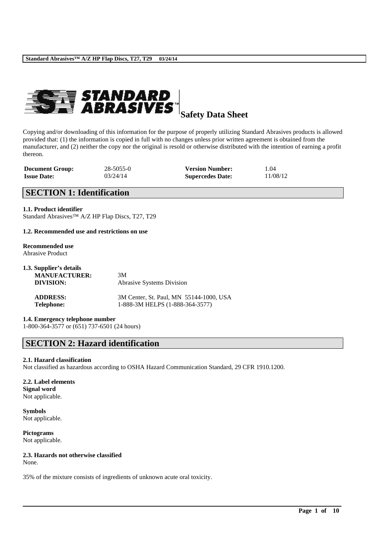

**Safety Data Sheet**

Copying and/or downloading of this information for the purpose of properly utilizing Standard Abrasives products is allowed provided that: (1) the information is copied in full with no changes unless prior written agreement is obtained from the manufacturer, and (2) neither the copy nor the original is resold or otherwise distributed with the intention of earning a profit thereon.

| <b>Document Group:</b> | $28 - 5055 - 0$ | <b>Version Number:</b>  | 1.04     |
|------------------------|-----------------|-------------------------|----------|
| <b>Issue Date:</b>     | 03/24/14        | <b>Supercedes Date:</b> | 11/08/12 |

# **SECTION 1: Identification**

#### **1.1. Product identifier**

Standard Abrasives™ A/Z HP Flap Discs, T27, T29

#### **1.2. Recommended use and restrictions on use**

#### **Recommended use** Abrasive Product

| 1.3. Supplier's details |                                         |
|-------------------------|-----------------------------------------|
| <b>MANUFACTURER:</b>    | 3M                                      |
| DIVISION:               | <b>Abrasive Systems Division</b>        |
| <b>ADDRESS:</b>         | 3M Center, St. Paul, MN 55144-1000, USA |
| <b>Telephone:</b>       | 1-888-3M HELPS (1-888-364-3577)         |

### **1.4. Emergency telephone number**

1-800-364-3577 or (651) 737-6501 (24 hours)

## **SECTION 2: Hazard identification**

### **2.1. Hazard classification**

Not classified as hazardous according to OSHA Hazard Communication Standard, 29 CFR 1910.1200.

\_\_\_\_\_\_\_\_\_\_\_\_\_\_\_\_\_\_\_\_\_\_\_\_\_\_\_\_\_\_\_\_\_\_\_\_\_\_\_\_\_\_\_\_\_\_\_\_\_\_\_\_\_\_\_\_\_\_\_\_\_\_\_\_\_\_\_\_\_\_\_\_\_\_\_\_\_\_\_\_\_\_\_\_\_\_\_\_\_\_

# **2.2. Label elements**

**Signal word** Not applicable.

**Symbols** Not applicable.

**Pictograms** Not applicable.

# **2.3. Hazards not otherwise classified**

None.

35% of the mixture consists of ingredients of unknown acute oral toxicity.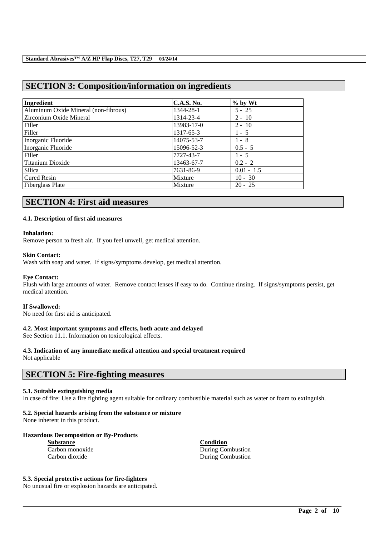# **SECTION 3: Composition/information on ingredients**

| Ingredient                           | <b>C.A.S. No.</b> | $%$ by Wt    |
|--------------------------------------|-------------------|--------------|
| Aluminum Oxide Mineral (non-fibrous) | 1344-28-1         | $5 - 25$     |
| Zirconium Oxide Mineral              | 1314-23-4         | $2 - 10$     |
| Filler                               | 13983-17-0        | $2 - 10$     |
| Filler                               | 1317-65-3         | $1 - 5$      |
| Inorganic Fluoride                   | 14075-53-7        | $1 - 8$      |
| Inorganic Fluoride                   | 15096-52-3        | $0.5 - 5$    |
| Filler                               | 7727-43-7         | $1 - 5$      |
| Titanium Dioxide                     | 13463-67-7        | $0.2 - 2$    |
| Silica                               | 7631-86-9         | $0.01 - 1.5$ |
| <b>Cured Resin</b>                   | Mixture           | $10 - 30$    |
| Fiberglass Plate                     | Mixture           | $20 - 25$    |

# **SECTION 4: First aid measures**

#### **4.1. Description of first aid measures**

#### **Inhalation:**

Remove person to fresh air. If you feel unwell, get medical attention.

#### **Skin Contact:**

Wash with soap and water. If signs/symptoms develop, get medical attention.

#### **Eye Contact:**

Flush with large amounts of water. Remove contact lenses if easy to do. Continue rinsing. If signs/symptoms persist, get medical attention.

#### **If Swallowed:**

No need for first aid is anticipated.

#### **4.2. Most important symptoms and effects, both acute and delayed**

See Section 11.1. Information on toxicological effects.

# **4.3. Indication of any immediate medical attention and special treatment required**

Not applicable

## **SECTION 5: Fire-fighting measures**

#### **5.1. Suitable extinguishing media**

In case of fire: Use a fire fighting agent suitable for ordinary combustible material such as water or foam to extinguish.

\_\_\_\_\_\_\_\_\_\_\_\_\_\_\_\_\_\_\_\_\_\_\_\_\_\_\_\_\_\_\_\_\_\_\_\_\_\_\_\_\_\_\_\_\_\_\_\_\_\_\_\_\_\_\_\_\_\_\_\_\_\_\_\_\_\_\_\_\_\_\_\_\_\_\_\_\_\_\_\_\_\_\_\_\_\_\_\_\_\_

# **5.2. Special hazards arising from the substance or mixture**

None inherent in this product.

### **Hazardous Decomposition or By-Products**

**Substance**<br> **Carbon monoxide**<br> **Carbon monoxide**<br> **Carbon monoxide** 

During Combustion Carbon dioxide During Combustion

## **5.3. Special protective actions for fire-fighters**

No unusual fire or explosion hazards are anticipated.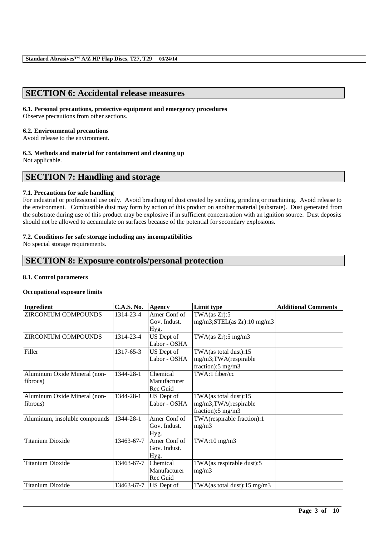# **SECTION 6: Accidental release measures**

## **6.1. Personal precautions, protective equipment and emergency procedures**

Observe precautions from other sections.

## **6.2. Environmental precautions**

Avoid release to the environment.

## **6.3. Methods and material for containment and cleaning up**

Not applicable.

# **SECTION 7: Handling and storage**

## **7.1. Precautions for safe handling**

For industrial or professional use only. Avoid breathing of dust created by sanding, grinding or machining. Avoid release to the environment. Combustible dust may form by action of this product on another material (substrate). Dust generated from the substrate during use of this product may be explosive if in sufficient concentration with an ignition source. Dust deposits should not be allowed to accumulate on surfaces because of the potential for secondary explosions.

## **7.2. Conditions for safe storage including any incompatibilities**

No special storage requirements.

# **SECTION 8: Exposure controls/personal protection**

## **8.1. Control parameters**

## **Occupational exposure limits**

| Ingredient                    | <b>C.A.S. No.</b> | Agency       | Limit type                         | <b>Additional Comments</b> |
|-------------------------------|-------------------|--------------|------------------------------------|----------------------------|
| ZIRCONIUM COMPOUNDS           | 1314-23-4         | Amer Conf of | TWA(as Zr):5                       |                            |
|                               |                   | Gov. Indust. | $mg/m3$ ; $STEL(as Zr)$ : 10 mg/m3 |                            |
|                               |                   | Hyg.         |                                    |                            |
| <b>ZIRCONIUM COMPOUNDS</b>    | 1314-23-4         | US Dept of   | TWA(as $Zr$ ):5 mg/m3              |                            |
|                               |                   | Labor - OSHA |                                    |                            |
| Filler                        | 1317-65-3         | US Dept of   | TWA(as total dust):15              |                            |
|                               |                   | Labor - OSHA | mg/m3;TWA(respirable               |                            |
|                               |                   |              | fraction): $5 \text{ mg/m}$ 3      |                            |
| Aluminum Oxide Mineral (non-  | 1344-28-1         | Chemical     | TWA:1 fiber/cc                     |                            |
| fibrous)                      |                   | Manufacturer |                                    |                            |
|                               |                   | Rec Guid     |                                    |                            |
| Aluminum Oxide Mineral (non-  | 1344-28-1         | US Dept of   | TWA(as total dust):15              |                            |
| fibrous)                      |                   | Labor - OSHA | mg/m3;TWA(respirable               |                            |
|                               |                   |              | fraction):5 mg/m3                  |                            |
| Aluminum, insoluble compounds | 1344-28-1         | Amer Conf of | TWA(respirable fraction):1         |                            |
|                               |                   | Gov. Indust. | mg/m3                              |                            |
|                               |                   | Hyg.         |                                    |                            |
| <b>Titanium Dioxide</b>       | 13463-67-7        | Amer Conf of | $TWA:10$ mg/m $3$                  |                            |
|                               |                   | Gov. Indust. |                                    |                            |
|                               |                   | Hyg.         |                                    |                            |
| <b>Titanium Dioxide</b>       | 13463-67-7        | Chemical     | TWA(as respirable dust):5          |                            |
|                               |                   | Manufacturer | mg/m3                              |                            |
|                               |                   | Rec Guid     |                                    |                            |
| <b>Titanium Dioxide</b>       | 13463-67-7        | US Dept of   | TWA(as total dust):15 mg/m3        |                            |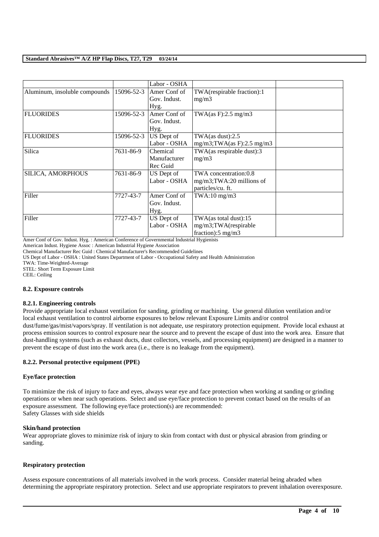|                               |            | Labor - OSHA |                                |  |
|-------------------------------|------------|--------------|--------------------------------|--|
| Aluminum, insoluble compounds | 15096-52-3 | Amer Conf of | TWA(respirable fraction):1     |  |
|                               |            | Gov. Indust. | mg/m3                          |  |
|                               |            | Hyg.         |                                |  |
| <b>FLUORIDES</b>              | 15096-52-3 | Amer Conf of | TWA $(as F): 2.5 mg/m3$        |  |
|                               |            | Gov. Indust. |                                |  |
|                               |            | Hyg.         |                                |  |
| <b>FLUORIDES</b>              | 15096-52-3 | US Dept of   | TWA $(as dust):2.5$            |  |
|                               |            | Labor - OSHA | $mg/m3$ ; TWA(as F): 2.5 mg/m3 |  |
| Silica                        | 7631-86-9  | Chemical     | TWA(as respirable dust):3      |  |
|                               |            | Manufacturer | mg/m3                          |  |
|                               |            | Rec Guid     |                                |  |
| SILICA, AMORPHOUS             | 7631-86-9  | US Dept of   | TWA concentration:0.8          |  |
|                               |            | Labor - OSHA | $mg/m3$ ; TWA: 20 millions of  |  |
|                               |            |              | particles/cu. ft.              |  |
| Filler                        | 7727-43-7  | Amer Conf of | $TWA:10$ mg/m $3$              |  |
|                               |            | Gov. Indust. |                                |  |
|                               |            | Hyg.         |                                |  |
| Filler                        | 7727-43-7  | US Dept of   | TWA(as total dust):15          |  |
|                               |            | Labor - OSHA | mg/m3;TWA(respirable           |  |
|                               |            |              | fraction): $5 \text{ mg/m}$ 3  |  |

Amer Conf of Gov. Indust. Hyg. : American Conference of Governmental Industrial Hygienists

American Indust. Hygiene Assoc : American Industrial Hygiene Association

US Dept of Labor - OSHA : United States Department of Labor - Occupational Safety and Health Administration

TWA: Time-Weighted-Average

STEL: Short Term Exposure Limit

CEIL: Ceiling

#### **8.2. Exposure controls**

#### **8.2.1. Engineering controls**

Provide appropriate local exhaust ventilation for sanding, grinding or machining. Use general dilution ventilation and/or local exhaust ventilation to control airborne exposures to below relevant Exposure Limits and/or control dust/fume/gas/mist/vapors/spray. If ventilation is not adequate, use respiratory protection equipment. Provide local exhaust at process emission sources to control exposure near the source and to prevent the escape of dust into the work area. Ensure that

dust-handling systems (such as exhaust ducts, dust collectors, vessels, and processing equipment) are designed in a manner to prevent the escape of dust into the work area (i.e., there is no leakage from the equipment).

### **8.2.2. Personal protective equipment (PPE)**

#### **Eye/face protection**

To minimize the risk of injury to face and eyes, always wear eye and face protection when working at sanding or grinding operations or when near such operations. Select and use eye/face protection to prevent contact based on the results of an exposure assessment. The following eye/face protection(s) are recommended: Safety Glasses with side shields

#### **Skin/hand protection**

Wear appropriate gloves to minimize risk of injury to skin from contact with dust or physical abrasion from grinding or sanding.

#### **Respiratory protection**

Assess exposure concentrations of all materials involved in the work process. Consider material being abraded when determining the appropriate respiratory protection. Select and use appropriate respirators to prevent inhalation overexposure.

Chemical Manufacturer Rec Guid : Chemical Manufacturer's Recommended Guidelines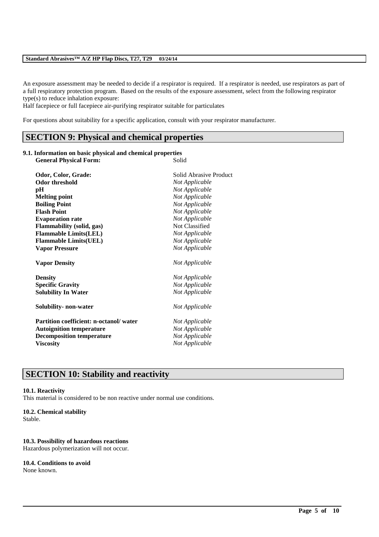### **Standard Abrasives™ A/Z HP Flap Discs, T27, T29 03/24/14**

An exposure assessment may be needed to decide if a respirator is required. If a respirator is needed, use respirators as part of a full respiratory protection program. Based on the results of the exposure assessment, select from the following respirator type(s) to reduce inhalation exposure:

\_\_\_\_\_\_\_\_\_\_\_\_\_\_\_\_\_\_\_\_\_\_\_\_\_\_\_\_\_\_\_\_\_\_\_\_\_\_\_\_\_\_\_\_\_\_\_\_\_\_\_\_\_\_\_\_\_\_\_\_\_\_\_\_\_\_\_\_\_\_\_\_\_\_\_\_\_\_\_\_\_\_\_\_\_\_\_\_\_\_

Half facepiece or full facepiece air-purifying respirator suitable for particulates

For questions about suitability for a specific application, consult with your respirator manufacturer.

## **SECTION 9: Physical and chemical properties**

### **9.1. Information on basic physical and chemical properties**

| <b>General Physical Form:</b>                 | Solid                  |
|-----------------------------------------------|------------------------|
| Odor, Color, Grade:                           | Solid Abrasive Product |
| <b>Odor threshold</b>                         | Not Applicable         |
| pН                                            | Not Applicable         |
| <b>Melting point</b>                          | Not Applicable         |
| <b>Boiling Point</b>                          | Not Applicable         |
| <b>Flash Point</b>                            | Not Applicable         |
| <b>Evaporation rate</b>                       | Not Applicable         |
| <b>Flammability (solid, gas)</b>              | Not Classified         |
| <b>Flammable Limits(LEL)</b>                  | Not Applicable         |
| <b>Flammable Limits(UEL)</b>                  | Not Applicable         |
| <b>Vapor Pressure</b>                         | Not Applicable         |
| <b>Vapor Density</b>                          | Not Applicable         |
| <b>Density</b>                                | Not Applicable         |
| <b>Specific Gravity</b>                       | Not Applicable         |
| <b>Solubility In Water</b>                    | Not Applicable         |
| Solubility- non-water                         | Not Applicable         |
| <b>Partition coefficient: n-octanol/water</b> | Not Applicable         |
| <b>Autoignition temperature</b>               | Not Applicable         |
| <b>Decomposition temperature</b>              | Not Applicable         |
| <b>Viscosity</b>                              | Not Applicable         |

# **SECTION 10: Stability and reactivity**

#### **10.1. Reactivity**

This material is considered to be non reactive under normal use conditions.

#### **10.2. Chemical stability**

Stable.

#### **10.3. Possibility of hazardous reactions**

Hazardous polymerization will not occur.

### **10.4. Conditions to avoid**

None known.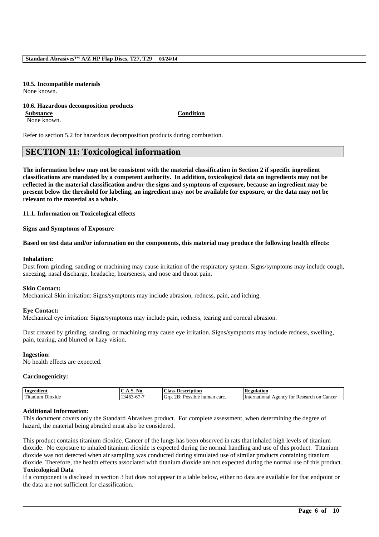#### **10.5. Incompatible materials** None known.

#### **10.6. Hazardous decomposition products Substance Condition**

None known.

Refer to section 5.2 for hazardous decomposition products during combustion.

# **SECTION 11: Toxicological information**

**The information below may not be consistent with the material classification in Section 2 if specific ingredient classifications are mandated by a competent authority. In addition, toxicological data on ingredients may not be reflected in the material classification and/or the signs and symptoms of exposure, because an ingredient may be present below the threshold for labeling, an ingredient may not be available for exposure, or the data may not be relevant to the material as a whole.**

**11.1. Information on Toxicological effects**

**Signs and Symptoms of Exposure**

**Based on test data and/or information on the components, this material may produce the following health effects:**

#### **Inhalation:**

Dust from grinding, sanding or machining may cause irritation of the respiratory system. Signs/symptoms may include cough, sneezing, nasal discharge, headache, hoarseness, and nose and throat pain.

### **Skin Contact:**

Mechanical Skin irritation: Signs/symptoms may include abrasion, redness, pain, and itching.

#### **Eye Contact:**

Mechanical eye irritation: Signs/symptoms may include pain, redness, tearing and corneal abrasion.

Dust created by grinding, sanding, or machining may cause eye irritation. Signs/symptoms may include redness, swelling, pain, tearing, and blurred or hazy vision.

#### **Ingestion:**

No health effects are expected.

#### **Carcinogenicity:**

| Ingredient                      | . NO. .<br>. .                                              | $\sim$<br>. lass<br><b>Description</b>                          | D<br>egulation:                                                  |
|---------------------------------|-------------------------------------------------------------|-----------------------------------------------------------------|------------------------------------------------------------------|
| $\sim$<br>Utanıum<br>$D10X1$ de | $-$<br>$\sim$<br>40 <sup>h</sup><br>.<br>л.<br>$\cdot$<br>. | 2 <sub>B</sub><br>carc<br>√jr<br>human<br>$\sim$<br>sible<br>'N | Cancer<br>International<br>tor<br>Research<br>on<br>eency.<br>π. |

#### **Additional Information:**

This document covers only the Standard Abrasives product. For complete assessment, when determining the degree of hazard, the material being abraded must also be considered.

This product contains titanium dioxide. Cancer of the lungs has been observed in rats that inhaled high levels of titanium dioxide. No exposure to inhaled titanium dioxide is expected during the normal handling and use of this product. Titanium dioxide was not detected when air sampling was conducted during simulated use of similar products containing titanium dioxide. Therefore, the health effects associated with titanium dioxide are not expected during the normal use of this product. **Toxicological Data**

If a component is disclosed in section 3 but does not appear in a table below, either no data are available for that endpoint or the data are not sufficient for classification.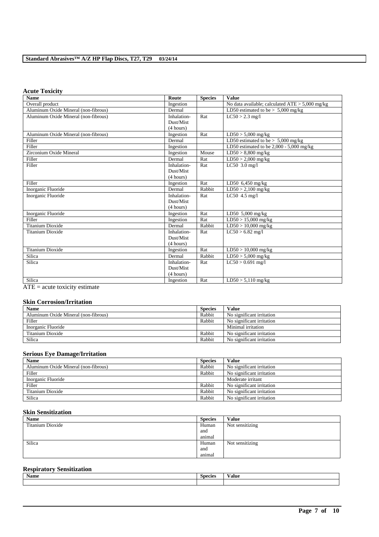## **Standard Abrasives™ A/Z HP Flap Discs, T27, T29 03/24/14**

## **Acute Toxicity**

| <b>Name</b>                          | Route       | <b>Species</b> | <b>Value</b>                                      |
|--------------------------------------|-------------|----------------|---------------------------------------------------|
| Overall product                      | Ingestion   |                | No data available; calculated $ATE > 5,000$ mg/kg |
| Aluminum Oxide Mineral (non-fibrous) | Dermal      |                | LD50 estimated to be $> 5.000$ mg/kg              |
| Aluminum Oxide Mineral (non-fibrous) | Inhalation- | Rat            | $LC50 > 2.3$ mg/l                                 |
|                                      | Dust/Mist   |                |                                                   |
|                                      | (4 hours)   |                |                                                   |
| Aluminum Oxide Mineral (non-fibrous) | Ingestion   | Rat            | $LD50 > 5,000$ mg/kg                              |
| Filler                               | Dermal      |                | LD50 estimated to be $> 5,000$ mg/kg              |
| Filler                               | Ingestion   |                | LD50 estimated to be 2,000 - 5,000 mg/kg          |
| Zirconium Oxide Mineral              | Ingestion   | Mouse          | $LD50 > 8,800$ mg/kg                              |
| Filler                               | Dermal      | Rat            | $LD50 > 2,000$ mg/kg                              |
| Filler                               | Inhalation- | Rat            | LC50 $3.0$ mg/l                                   |
|                                      | Dust/Mist   |                |                                                   |
|                                      | (4 hours)   |                |                                                   |
| Filler                               | Ingestion   | Rat            | LD50 6,450 mg/kg                                  |
| Inorganic Fluoride                   | Dermal      | Rabbit         | $LD50 > 2,100$ mg/kg                              |
| Inorganic Fluoride                   | Inhalation- | Rat            | LC50 4.5 mg/l                                     |
|                                      | Dust/Mist   |                |                                                   |
|                                      | (4 hours)   |                |                                                   |
| Inorganic Fluoride                   | Ingestion   | Rat            | LD50 $5,000$ mg/kg                                |
| Filler                               | Ingestion   | Rat            | $LD50 > 15,000$ mg/kg                             |
| <b>Titanium Dioxide</b>              | Dermal      | Rabbit         | $LD50 > 10,000$ mg/kg                             |
| <b>Titanium Dioxide</b>              | Inhalation- | Rat            | $LC50 > 6.82$ mg/l                                |
|                                      | Dust/Mist   |                |                                                   |
|                                      | (4 hours)   |                |                                                   |
| <b>Titanium Dioxide</b>              | Ingestion   | Rat            | $LD50 > 10,000$ mg/kg                             |
| Silica                               | Dermal      | Rabbit         | $LD50 > 5,000$ mg/kg                              |
| Silica                               | Inhalation- | Rat            | $LC50 > 0.691$ mg/l                               |
|                                      | Dust/Mist   |                |                                                   |
|                                      | (4 hours)   |                |                                                   |
| Silica                               | Ingestion   | Rat            | $LD50 > 5,110$ mg/kg                              |

ATE = acute toxicity estimate

### **Skin Corrosion/Irritation**

| <b>Name</b>                          | <b>Species</b> | Value                     |
|--------------------------------------|----------------|---------------------------|
| Aluminum Oxide Mineral (non-fibrous) | Rabbit         | No significant irritation |
| Filler                               | Rabbit         | No significant irritation |
| Inorganic Fluoride                   |                | Minimal irritation        |
| Titanium Dioxide                     | Rabbit         | No significant irritation |
| Silica                               | Rabbit         | No significant irritation |

## **Serious Eye Damage/Irritation**

| <b>Name</b>                          | <b>Species</b> | Value                     |
|--------------------------------------|----------------|---------------------------|
| Aluminum Oxide Mineral (non-fibrous) | Rabbit         | No significant irritation |
| Filler                               | Rabbit         | No significant irritation |
| Inorganic Fluoride                   |                | Moderate irritant         |
| Filler                               | Rabbit         | No significant irritation |
| Titanium Dioxide                     | Rabbit         | No significant irritation |
| Silica                               | Rabbit         | No significant irritation |

### **Skin Sensitization**

| Name             | <b>Species</b> | <b>Value</b>    |
|------------------|----------------|-----------------|
| Titanium Dioxide | Human          | Not sensitizing |
|                  | and            |                 |
|                  | animal         |                 |
| Silica           | Human          | Not sensitizing |
|                  | and            |                 |
|                  | animal         |                 |

## **Respiratory Sensitization**

| <b>Name</b> | $\sim$<br><b>Species</b> | 'alue |
|-------------|--------------------------|-------|
|             |                          |       |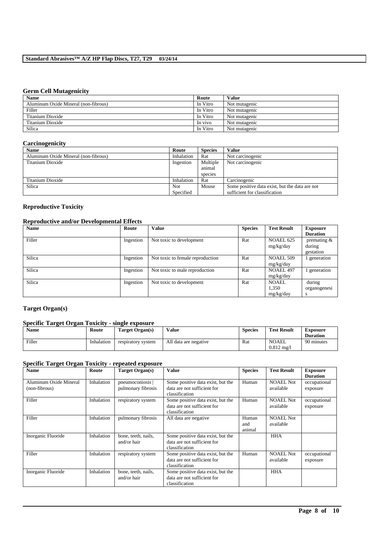## **Germ Cell Mutagenicity**

| <b>Name</b>                          | Route    | <b>Value</b>  |
|--------------------------------------|----------|---------------|
| Aluminum Oxide Mineral (non-fibrous) | In Vitro | Not mutagenic |
| Filler                               | In Vitro | Not mutagenic |
| Titanium Dioxide                     | In Vitro | Not mutagenic |
| Titanium Dioxide                     | In vivo  | Not mutagenic |
| Silica                               | In Vitro | Not mutagenic |

### **Carcinogenicity**

| <b>Name</b>                          | Route      | <b>Species</b> | <b>Value</b>                                   |
|--------------------------------------|------------|----------------|------------------------------------------------|
| Aluminum Oxide Mineral (non-fibrous) | Inhalation | Rat            | Not carcinogenic                               |
| Titanium Dioxide                     | Ingestion  | Multiple       | Not carcinogenic                               |
|                                      |            | animal         |                                                |
|                                      |            | species        |                                                |
| Titanium Dioxide                     | Inhalation | Rat            | Carcinogenic                                   |
| Silica                               | <b>Not</b> | Mouse          | Some positive data exist, but the data are not |
|                                      | Specified  |                | sufficient for classification                  |

## **Reproductive Toxicity**

## **Reproductive and/or Developmental Effects**

| <b>Name</b> | Route     | <b>Value</b>                     | <b>Species</b> | <b>Test Result</b>                 | <b>Exposure</b>                                         |
|-------------|-----------|----------------------------------|----------------|------------------------------------|---------------------------------------------------------|
| Filler      | Ingestion | Not toxic to development         | Rat            | <b>NOAEL 625</b><br>mg/kg/day      | <b>Duration</b><br>premating $&$<br>during<br>gestation |
| Silica      | Ingestion | Not toxic to female reproduction | Rat            | <b>NOAEL 509</b><br>mg/kg/day      | generation                                              |
| Silica      | Ingestion | Not toxic to male reproduction   | Rat            | <b>NOAEL 497</b><br>mg/kg/day      | generation                                              |
| Silica      | Ingestion | Not toxic to development         | Rat            | <b>NOAEL</b><br>1.350<br>mg/kg/day | during<br>organogenesi<br>s                             |

## **Target Organ(s)**

## **Specific Target Organ Toxicity - single exposure**

| <b>Name</b> | Route      | Target Organ(s)    | Value                 | <b>Species</b> | <b>Test Result</b> | Exposure        |
|-------------|------------|--------------------|-----------------------|----------------|--------------------|-----------------|
|             |            |                    |                       |                |                    | <b>Duration</b> |
| Filler      | Inhalation | respiratory system | All data are negative | Rat            | <b>NOAEL</b>       | 90 minutes      |
|             |            |                    |                       |                | $0.812 \text{ mg}$ |                 |

## **Specific Target Organ Toxicity - repeated exposure**

| <b>Name</b>                             | Route      | Target Organ(s)                        | <b>Value</b>                                                                       | <b>Species</b>         | <b>Test Result</b>            | <b>Exposure</b><br><b>Duration</b> |
|-----------------------------------------|------------|----------------------------------------|------------------------------------------------------------------------------------|------------------------|-------------------------------|------------------------------------|
| Aluminum Oxide Mineral<br>(non-fibrous) | Inhalation | pneumoconiosis  <br>pulmonary fibrosis | Some positive data exist, but the<br>data are not sufficient for<br>classification | Human                  | <b>NOAEL Not</b><br>available | occupational<br>exposure           |
| Filler                                  | Inhalation | respiratory system                     | Some positive data exist, but the<br>data are not sufficient for<br>classification | Human                  | <b>NOAEL Not</b><br>available | occupational<br>exposure           |
| Filler                                  | Inhalation | pulmonary fibrosis                     | All data are negative                                                              | Human<br>and<br>animal | <b>NOAEL Not</b><br>available |                                    |
| Inorganic Fluoride                      | Inhalation | bone, teeth, nails,<br>and/or hair     | Some positive data exist, but the<br>data are not sufficient for<br>classification |                        | <b>HHA</b>                    |                                    |
| Filler                                  | Inhalation | respiratory system                     | Some positive data exist, but the<br>data are not sufficient for<br>classification | Human                  | <b>NOAEL Not</b><br>available | occupational<br>exposure           |
| Inorganic Fluoride                      | Inhalation | bone, teeth, nails,<br>and/or hair     | Some positive data exist, but the<br>data are not sufficient for<br>classification |                        | <b>HHA</b>                    |                                    |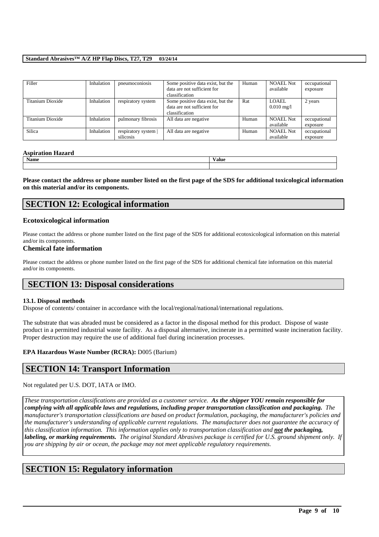### **Standard Abrasives™ A/Z HP Flap Discs, T27, T29 03/24/14**

| Filler           | Inhalation | pneumoconiosis                  | Some positive data exist, but the<br>data are not sufficient for<br>classification | Human | <b>NOAEL Not</b><br>available  | occupational<br>exposure |
|------------------|------------|---------------------------------|------------------------------------------------------------------------------------|-------|--------------------------------|--------------------------|
| Titanium Dioxide | Inhalation | respiratory system              | Some positive data exist, but the<br>data are not sufficient for<br>classification | Rat   | LOAEL.<br>$0.010 \text{ mg}/1$ | 2 years                  |
| Titanium Dioxide | Inhalation | pulmonary fibrosis              | All data are negative                                                              | Human | <b>NOAEL Not</b><br>available  | occupational<br>exposure |
| Silica           | Inhalation | respiratory system<br>silicosis | All data are negative                                                              | Human | <b>NOAEL Not</b><br>available  | occupational<br>exposure |

### **Aspiration Hazard**

|      | - -   |
|------|-------|
| Name | Value |
|      |       |

**Please contact the address or phone number listed on the first page of the SDS for additional toxicological information on this material and/or its components.**

## **SECTION 12: Ecological information**

### **Ecotoxicological information**

Please contact the address or phone number listed on the first page of the SDS for additional ecotoxicological information on this material and/or its components.

### **Chemical fate information**

Please contact the address or phone number listed on the first page of the SDS for additional chemical fate information on this material and/or its components.

## **SECTION 13: Disposal considerations**

#### **13.1. Disposal methods**

Dispose of contents/ container in accordance with the local/regional/national/international regulations.

The substrate that was abraded must be considered as a factor in the disposal method for this product. Dispose of waste product in a permitted industrial waste facility. As a disposal alternative, incinerate in a permitted waste incineration facility. Proper destruction may require the use of additional fuel during incineration processes.

### **EPA Hazardous Waste Number (RCRA):** D005 (Barium)

## **SECTION 14: Transport Information**

Not regulated per U.S. DOT, IATA or IMO.

*These transportation classifications are provided as a customer service. As the shipper YOU remain responsible for complying with all applicable laws and regulations, including proper transportation classification and packaging. The manufacturer's transportation classifications are based on product formulation, packaging, the manufacturer's policies and the manufacturer's understanding of applicable current regulations. The manufacturer does not guarantee the accuracy of this classification information. This information applies only to transportation classification and not the packaging, labeling, or marking requirements. The original Standard Abrasives package is certified for U.S. ground shipment only. If you are shipping by air or ocean, the package may not meet applicable regulatory requirements.* 

\_\_\_\_\_\_\_\_\_\_\_\_\_\_\_\_\_\_\_\_\_\_\_\_\_\_\_\_\_\_\_\_\_\_\_\_\_\_\_\_\_\_\_\_\_\_\_\_\_\_\_\_\_\_\_\_\_\_\_\_\_\_\_\_\_\_\_\_\_\_\_\_\_\_\_\_\_\_\_\_\_\_\_\_\_\_\_\_\_\_

## **SECTION 15: Regulatory information**